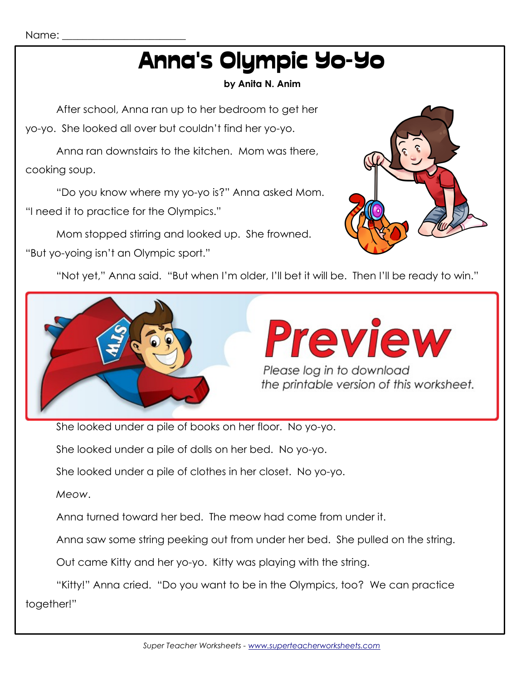# Anna's Olympic Yo-Yo

### **by Anita N. Anim**

After school, Anna ran up to her bedroom to get her yo-yo. She looked all over but couldn't find her yo-yo.

Anna ran downstairs to the kitchen. Mom was there, cooking soup.

"Do you know where my yo-yo is?" Anna asked Mom. "I need it to practice for the Olympics."

Mom stopped stirring and looked up. She frowned.

"But yo-yoing isn't an Olympic sport."



"Not yet," Anna said. "But when I'm older, I'll bet it will be. Then I'll be ready to win."



She looked under a pile of books on her floor. No yo-yo.

She looked under a pile of dolls on her bed. No yo-yo.

She looked under a pile of clothes in her closet. No yo-yo.

*Meow*.

Anna turned toward her bed. The meow had come from under it.

Anna saw some string peeking out from under her bed. She pulled on the string.

Out came Kitty and her yo-yo. Kitty was playing with the string.

"Kitty!" Anna cried. "Do you want to be in the Olympics, too? We can practice together!"

Name: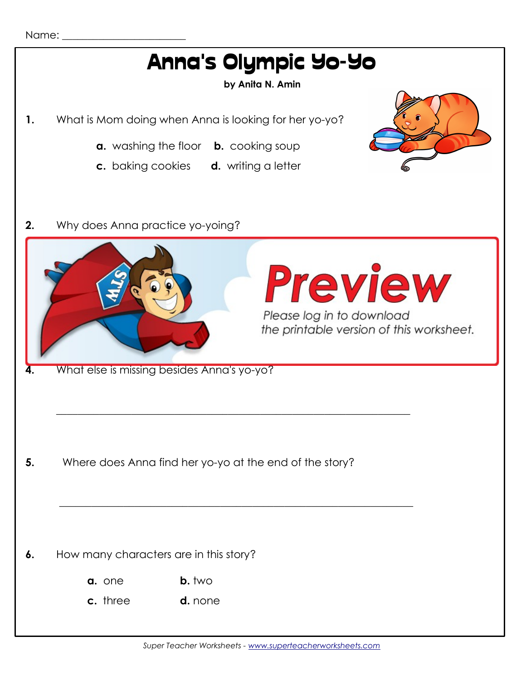

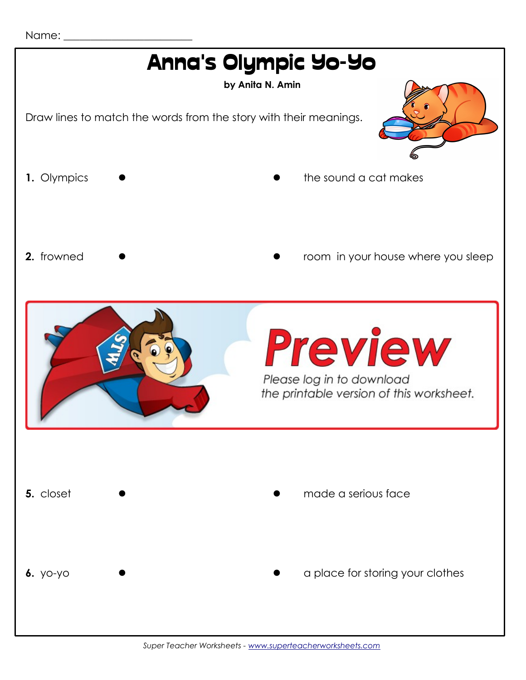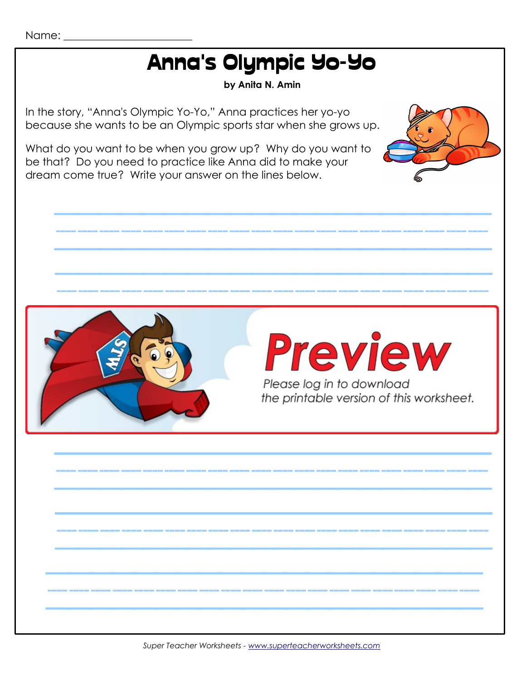#### Name: \_\_\_\_\_\_\_\_\_\_\_\_\_\_\_\_\_\_\_\_\_\_\_\_

### Anna's Olympic Yo-Yo

#### **by Anita N. Amin**

////////////////////

In the story, "Anna's Olympic Yo-Yo," Anna practices her yo-yo because she wants to be an Olympic sports star when she grows up.

What do you want to be when you grow up? Why do you want to be that? Do you need to practice like Anna did to make your dream come true? Write your answer on the lines below.



////////////////////

////////////////////

////////////////////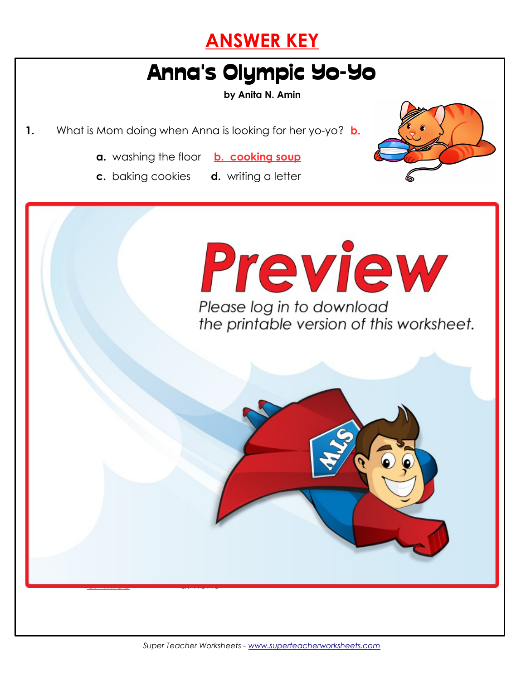

## Anna's Olympic Yo-Yo

**by Anita N. Amin**

**1.** What is Mom doing when Anna is looking for her yo-yo? **b.**



- **a.** washing the floor **b. cooking soup**
- **c.** baking cookies **d.** writing a letter
	-